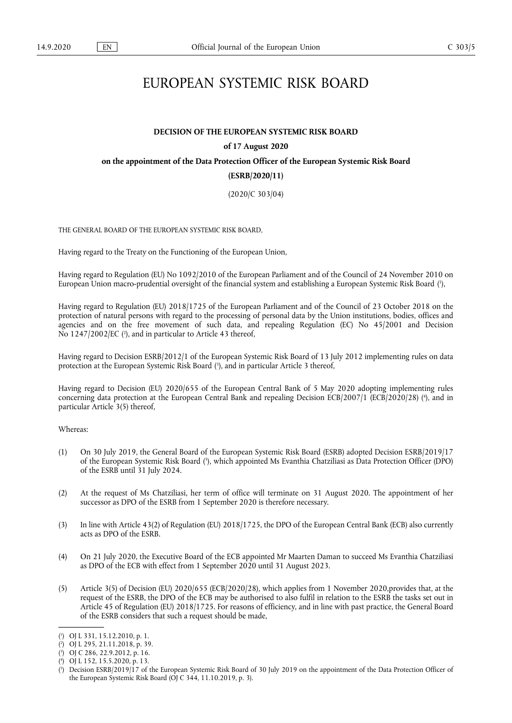# EUROPEAN SYSTEMIC RISK BOARD

# **DECISION OF THE EUROPEAN SYSTEMIC RISK BOARD of 17 August 2020 on the appointment of the Data Protection Officer of the European Systemic Risk Board (ESRB/2020/11)**

(2020/C 303/04)

THE GENERAL BOARD OF THE EUROPEAN SYSTEMIC RISK BOARD,

Having regard to the Treaty on the Functioning of the European Union,

<span id="page-0-5"></span>Having regard to Regulation (EU) No 1092/2010 of the European Parliament and of the Council of 24 November 2010 on European Union macro-prudential oversight of the financial system and establishing a European Systemic Risk Board [\(](#page-0-0) 1 ),

Having regard to Regulation (EU) 2018/1725 of the European Parliament and of the Council of 23 October 2018 on the protection of natural persons with regard to the processing of personal data by the Union institutions, bodies, offices and agencies and on the free movement of such data, and repealing Regulation (EC) No 45/2001 and Decision No 1247/2002/EC (?[\),](#page-0-1) and in particular to Article 43 thereof,

<span id="page-0-7"></span><span id="page-0-6"></span>Having regard to Decision ESRB/2012/1 of the European Systemic Risk Board of 13 July 2012 implementing rules on data protection at the European Systemic Risk Board [\(](#page-0-2) 3 ), and in particular Article 3 thereof,

<span id="page-0-8"></span>Having regard to Decision (EU) 2020/655 of the European Central Bank of 5 May 2020 adopting implementing rules concerning data protection at the European Central Bank and repealing Decision ECB/2007/1 (ECB/2020/28) ( 4 [\),](#page-0-3) and in particular Article 3(5) thereof,

Whereas:

- <span id="page-0-9"></span>(1) On 30 July 2019, the General Board of the European Systemic Risk Board (ESRB) adopted Decision ESRB/2019/17 of the European Systemic Risk Board ( 5 [\),](#page-0-4) which appointed Ms Evanthia Chatziliasi as Data Protection Officer (DPO) of the ESRB until 31 July 2024.
- (2) At the request of Ms Chatziliasi, her term of office will terminate on 31 August 2020. The appointment of her successor as DPO of the ESRB from 1 September 2020 is therefore necessary.
- (3) In line with Article 43(2) of Regulation (EU) 2018/1725, the DPO of the European Central Bank (ECB) also currently acts as DPO of the ESRB.
- (4) On 21 July 2020, the Executive Board of the ECB appointed Mr Maarten Daman to succeed Ms Evanthia Chatziliasi as DPO of the ECB with effect from 1 September 2020 until 31 August 2023.
- (5) Article 3(5) of Decision (EU) 2020/655 (ECB/2020/28), which applies from 1 November 2020,provides that, at the request of the ESRB, the DPO of the ECB may be authorised to also fulfil in relation to the ESRB the tasks set out in Article 45 of Regulation (EU) 2018/1725. For reasons of efficiency, and in line with past practice, the General Board of the ESRB considers that such a request should be made,

<span id="page-0-0"></span>[<sup>\(</sup>](#page-0-5) 1 ) OJ L 331, 15.12.2010, p. 1.

<span id="page-0-1"></span>[<sup>\(</sup>](#page-0-6) 2 ) OJ L 295, 21.11.2018, p. 39.

<span id="page-0-2"></span>[<sup>\(</sup>](#page-0-7) 3 ) OJ C 286, 22.9.2012, p. 16.

<span id="page-0-3"></span>[<sup>\(</sup>](#page-0-8) 4 ) OJ L 152, 15.5.2020, p. 13.

<span id="page-0-4"></span>[<sup>\(</sup>](#page-0-9) 5 ) Decision ESRB/2019/17 of the European Systemic Risk Board of 30 July 2019 on the appointment of the Data Protection Officer of the European Systemic Risk Board (OJ C 344, 11.10.2019, p. 3).